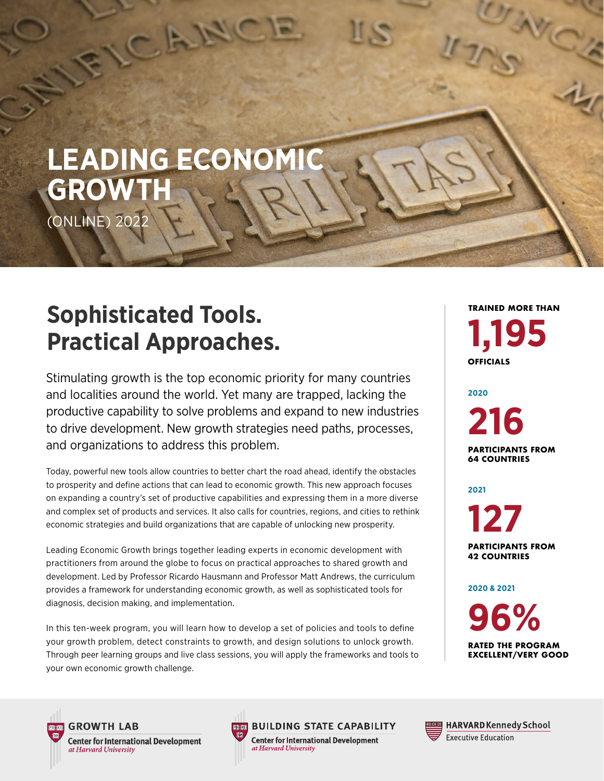

 $\frac{1}{2}$ 

# **Sophisticated Tools. Practical Approaches.**

Stimulating growth is the top economic priority for many countries and localities around the world. Yet many are trapped, lacking the productive capability to solve problems and expand to new industries to drive development. New growth strategies need paths, processes, and organizations to address this problem.

Today, powerful new tools allow countries to better chart the road ahead, identify the obstacles to prosperity and define actions that can lead to economic growth. This new approach focuses on expanding a country's set of productive capabilities and expressing them in a more diverse and complex set of products and services. It also calls for countries, regions, and cities to rethink economic strategies and build organizations that are capable of unlocking new prosperity.

Leading Economic Growth brings together leading experts in economic development with practitioners from around the globe to focus on practical approaches to shared growth and development. Led by Professor Ricardo Hausmann and Professor Matt Andrews, the curriculum provides a framework for understanding economic growth, as well as sophisticated tools for diagnosis, decision making, and implementation.

In this ten-week program, you will learn how to develop a set of policies and tools to define your growth problem, detect constraints to growth, and design solutions to unlock growth. Through peer learning groups and live class sessions, you will apply the frameworks and tools to your own economic growth challenge.

**1,195 OFFICIALS TRAINED MORE THAN**

**MC** 

**216 2020**

**PARTICIPANTS FROM 64 COUNTRIES**

**2021**

**127 PARTICIPANTS FROM** 

**42 COUNTRIES**

**2020 & 2021**

**96% RATED THE PROGRAM EXCELLENT/VERY GOOD**



**GROWTH LAB Center for International Development** at Harvard University



**BUILDING STATE CAPABILITY** 

**Center for International Development**